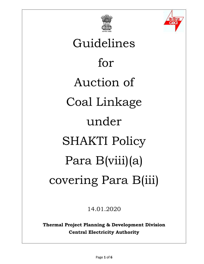



# Guidelines for Auction of Coal Linkage under SHAKTI Policy Para B(viii)(a) covering Para B(iii)

14.01.2020

**Thermal Project Planning & Development Division Central Electricity Authority**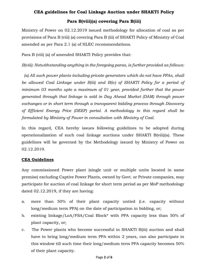# **CEA guidelines for Coal Linkage Auction under SHAKTI Policy**

# **Para B(viii)(a) covering Para B(iii)**

Ministry of Power on 02.12.2019 issued methodology for allocation of coal as per provisions of Para B (viii) (a) covering Para B (iii) of SHAKTI Policy of Ministry of Coal amended as per Para 2.1 (a) of HLEC recommendations.

Para B (viii) (a) of amended SHAKTI Policy provides that:

*B(viii): Notwithstanding anything in the foregoing paras, is further provided as follows:*

*(a) All such power plants including private generators which do not have PPAs, shall*  be allowed Coal Linkage under B(iii) and B(iv) of SHAKTI Policy for a period of *minimum 03 months upto a maximum of 01 year, provided further that the power generated through that linkage is sold in Day Ahead Market (DAM) through power exchanges or in short term through a transparent bidding process through Discovery of Efficient Energy Price (DEEP) portal. A methodology in this regard shall be formulated by Ministry of Power in consultation with Ministry of Coal.*

In this regard, CEA hereby issues following guidelines to be adopted during operationalization of such coal linkage auctions under SHAKTI B(viii)(a). These guidelines will be governed by the Methodology issued by Ministry of Power on 02.12.2019.

#### **CEA Guidelines**

Any commissioned Power plant (single unit or multiple units located in same premise) excluding Captive Power Plants, owned by Govt. or Private companies, may participate for auction of coal linkage for short term period as per MoP methodology dated 02.12.2019, if they are having:

- a. more than 50% of their plant capacity untied (i.e. capacity without long/medium term PPA) on the date of participation in bidding, or;
- b. existing linkage/LoA/FSA/Coal Block\* with PPA capacity less than 50% of plant capacity, or;
- c. The Power plants who become successful in SHAKTI B(iii) auction and shall have to bring long/medium term PPA within 2 years, can also participate in this window till such time their long/medium term PPA capacity becomes 50% of their plant capacity.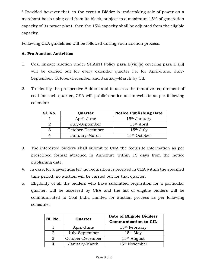\* Provided however that, in the event a Bidder is undertaking sale of power on a merchant basis using coal from its block, subject to a maximum 15% of generation capacity of its power plant, then the 15% capacity shall be adjusted from the eligible capacity.

Following CEA guidelines will be followed during such auction process:

# **A. Pre-Auction Activities**

- 1. Coal linkage auction under SHAKTI Policy para B(viii)(a) covering para B (iii) will be carried out for every calendar quarter i.e. for April-June, July-September, October-December and January-March by CIL.
- 2. To identify the prospective Bidders and to assess the tentative requirement of coal for each quarter, CEA will publish notice on its website as per following calendar:

| <b>S1. No.</b> | Quarter          | <b>Notice Publishing Date</b> |  |
|----------------|------------------|-------------------------------|--|
|                | April-June       | 15 <sup>th</sup> January      |  |
|                | July-September   | 15 <sup>th</sup> April        |  |
|                | October-December | $15th$ July                   |  |
|                | January-March    | 15 <sup>th</sup> October      |  |

- 3. The interested bidders shall submit to CEA the requisite information as per prescribed format attached in Annexure within 15 days from the notice publishing date.
- 4. In case, for a given quarter, no requisition is received in CEA within the specified time period, no auction will be carried out for that quarter.
- 5. Eligibility of all the bidders who have submitted requisition for a particular quarter, will be assessed by CEA and the list of eligible bidders will be communicated to Coal India Limited for auction process as per following schedule:

| <b>S1. No.</b> | Quarter          | Date of Eligible Bidders<br><b>Communication to CIL</b> |  |
|----------------|------------------|---------------------------------------------------------|--|
|                | April-June       | 15 <sup>th</sup> February                               |  |
|                | July-September   | $15th$ May                                              |  |
| $\mathbf{P}$   | October-December | $15th$ August                                           |  |
|                | January-March    | 15 <sup>th</sup> November                               |  |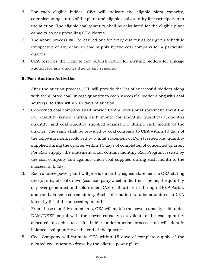- 6. For each eligible bidder, CEA will indicate the eligible plant capacity, commissioning status of the plant and eligible coal quantity for participation in the auction. The eligible coal quantity shall be calculated for the eligible plant capacity as per prevailing CEA Norms.
- 7. The above process will be carried out for every quarter as per given schedule irrespective of any delay in coal supply by the coal company for a particular quarter.
- 8. CEA reserves the right to not publish notice for inviting bidders for linkage auction for any quarter due to any reasons.

# **B. Post-Auction Activities**

- 1. After the auction process, CIL will provide the list of successful bidders along with the allotted coal linkage quantity to each successful bidder along with coal source(s) to CEA within 10 days of auction.
- 2. Concerned coal company shall provide CEA a provisional statement about the DO quantity issued during each month for (monthly quantity/03-months quantity) and coal quantity supplied against DO during each month of the quarter. The same shall be provided by coal company to CEA within 10 days of the following month followed by a final statement of DO(s) issued and quantity supplied during the quarter within 15 days of completion of concerned quarter. For Rail supply, the statement shall contain monthly Rail Program issued by the coal company and against which coal supplied during each month to the successful bidder.
- 3. Each allottee power plant will provide monthly signed statement to CEA stating the quantity of coal drawn (coal company wise) under this scheme, the quantity of power generated and sold under DAM or Short Term through DEEP Portal, and the balance coal remaining. Such information is to be submitted to CEA latest by 5th of the succeeding month.
- 4. From these monthly statements, CEA will match the power capacity sold under DAM/DEEP portal with the power capacity equivalent to the coal quantity allocated to each successful bidder under auction process and will identify balance coal quantity at the end of the quarter.
- 5. Coal Company will intimate CEA within 15 days of complete supply of the allotted coal quantity/drawl by the allottee power plant.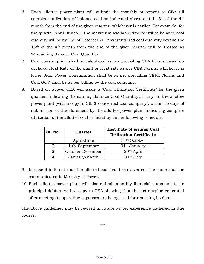- 6. Each allottee power plant will submit the monthly statement to CEA till complete utilization of balance coal as indicated above or till 15th of the 4th month from the end of the given quarter, whichever is earlier. For example, for the quarter April-June'20, the maximum available time to utilize balance coal quantity will be by 15th of Octorber'20. Any unutilized coal quantity beyond the 15<sup>th</sup> of the 4<sup>th</sup> month from the end of the given quarter will be treated as 'Remaining Balance Coal Quantity'.
- 7. Coal consumption shall be calculated as per prevailing CEA Norms based on declared Heat Rate of the plant or Heat rate as per CEA Norms, whichever is lower. Aux. Power Consumption shall be as per prevailing CERC Norms and Coal GCV shall be as per billing by the coal company.
- 8. Based on above, CEA will issue a 'Coal Utilization Certificate' for the given quarter, indicating 'Remaining Balance Coal Quantity', if any, to the allottee power plant (with a copy to CIL & concerned coal company), within 15 days of submission of the statement by the allottee power plant indicating complete utilization of the allotted coal or latest by as per following schedule:

| <b>S1. No.</b> | Quarter          | Last Date of issuing Coal<br><b>Utilization Certificate</b> |  |
|----------------|------------------|-------------------------------------------------------------|--|
|                | April-June       | 31 <sup>st</sup> October                                    |  |
|                | July-September   | 31 <sup>st</sup> January                                    |  |
| 3              | October-December | 30 <sup>th</sup> April                                      |  |
|                | January-March    | 31 <sup>st</sup> July                                       |  |

- 9. In case it is found that the allotted coal has been diverted, the same shall be communicated to Ministry of Power.
- 10. Each allottee power plant will also submit monthly financial statement to its principal debtors with a copy to CEA showing that the net surplus generated after meeting its operating expenses are being used for remitting its debt.

The above guidelines may be revised in future as per experience gathered in due course.

\*\*\*